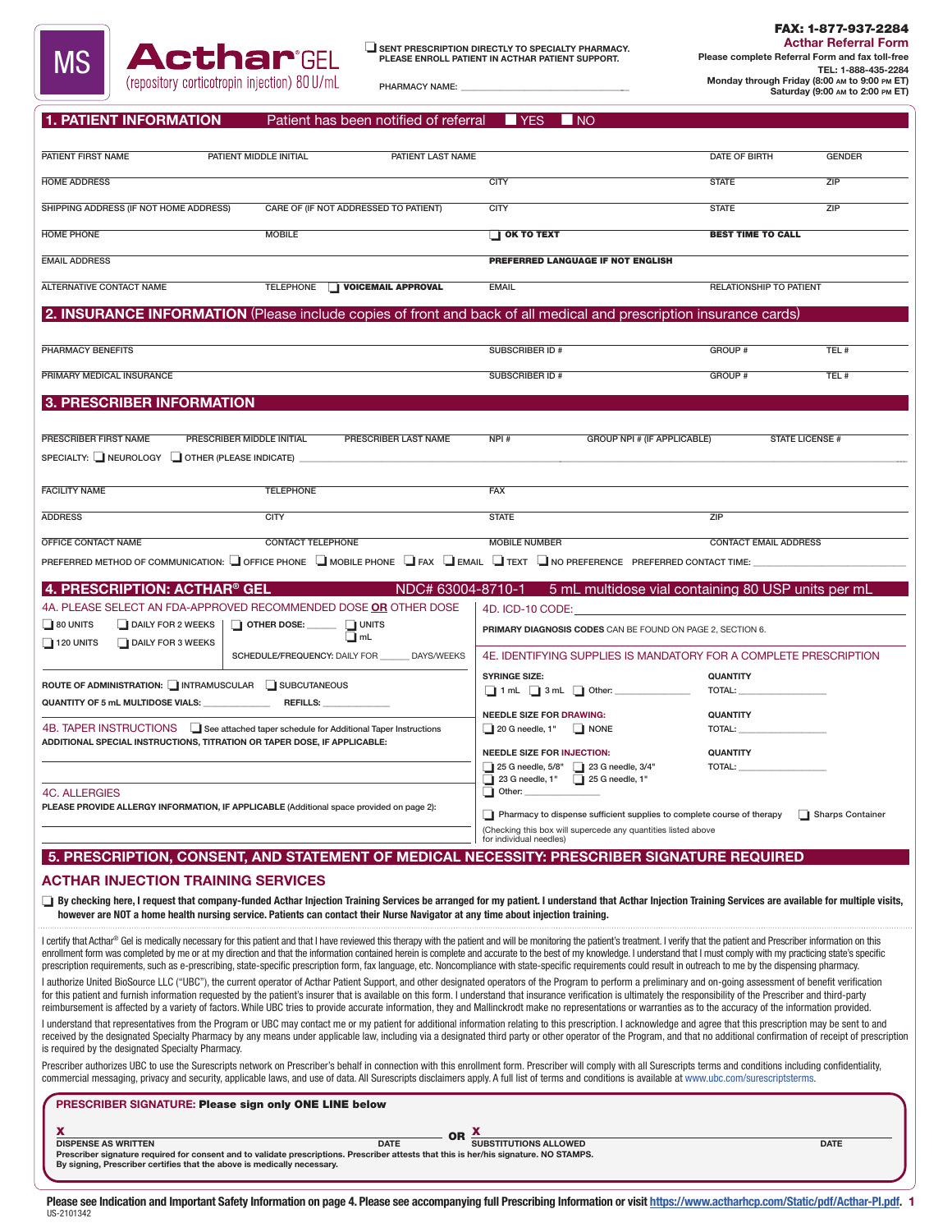

PHARMACY NAME:

FAX: 1-877-937-2284 Acthar Referral Form Please complete Referral Form and fax toll-free

TEL: 1-888-435-2284 Monday through Friday (8:00 am to 9:00 pm ET) Saturday (9:00 am to 2:00 pm ET)

| <b>1. PATIENT INFORMATION</b> | Patient has been notified of referral | $\blacksquare$ YES $\blacksquare$ NO |  |
|-------------------------------|---------------------------------------|--------------------------------------|--|
|-------------------------------|---------------------------------------|--------------------------------------|--|

| PATIENT FIRST NAME<br>PATIENT MIDDLE INITIAL<br>PATIENT LAST NAME                                                                                                                                                                                                                                                                                                                                                                              |                                                                                           | DATE OF BIRTH                | <b>GENDER</b>          |
|------------------------------------------------------------------------------------------------------------------------------------------------------------------------------------------------------------------------------------------------------------------------------------------------------------------------------------------------------------------------------------------------------------------------------------------------|-------------------------------------------------------------------------------------------|------------------------------|------------------------|
| <b>HOME ADDRESS</b>                                                                                                                                                                                                                                                                                                                                                                                                                            | <b>CITY</b>                                                                               | <b>STATE</b>                 | ZIP                    |
| SHIPPING ADDRESS (IF NOT HOME ADDRESS)<br>CARE OF (IF NOT ADDRESSED TO PATIENT)                                                                                                                                                                                                                                                                                                                                                                | <b>CITY</b>                                                                               | <b>STATE</b>                 | ZIP                    |
| <b>HOME PHONE</b><br><b>MOBILE</b>                                                                                                                                                                                                                                                                                                                                                                                                             | $\Box$ OK TO TEXT                                                                         | <b>BEST TIME TO CALL</b>     |                        |
| <b>EMAIL ADDRESS</b>                                                                                                                                                                                                                                                                                                                                                                                                                           | PREFERRED LANGUAGE IF NOT ENGLISH                                                         |                              |                        |
| <b>ALTERNATIVE CONTACT NAME</b><br><b>TELEPHONE</b><br>VOICEMAIL APPROVAL                                                                                                                                                                                                                                                                                                                                                                      | <b>EMAIL</b>                                                                              | RELATIONSHIP TO PATIENT      |                        |
| 2. INSURANCE INFORMATION (Please include copies of front and back of all medical and prescription insurance cards)                                                                                                                                                                                                                                                                                                                             |                                                                                           |                              |                        |
|                                                                                                                                                                                                                                                                                                                                                                                                                                                |                                                                                           |                              |                        |
| PHARMACY BENEFITS                                                                                                                                                                                                                                                                                                                                                                                                                              | SUBSCRIBER ID#                                                                            | GROUP #                      | TEL #                  |
| PRIMARY MEDICAL INSURANCE                                                                                                                                                                                                                                                                                                                                                                                                                      | SUBSCRIBER ID#                                                                            | <b>GROUP #</b>               | TEL#                   |
| 3. PRESCRIBER INFORMATION                                                                                                                                                                                                                                                                                                                                                                                                                      |                                                                                           |                              |                        |
|                                                                                                                                                                                                                                                                                                                                                                                                                                                |                                                                                           |                              |                        |
| PRESCRIBER FIRST NAME<br>PRESCRIBER MIDDLE INITIAL<br>PRESCRIBER LAST NAME<br>SPECIALTY: NEUROLOGY COTHER (PLEASE INDICATE)                                                                                                                                                                                                                                                                                                                    | NPI#<br><b>GROUP NPI # (IF APPLICABLE)</b>                                                |                              | <b>STATE LICENSE #</b> |
|                                                                                                                                                                                                                                                                                                                                                                                                                                                |                                                                                           |                              |                        |
| <b>FACILITY NAME</b><br><b>TELEPHONE</b>                                                                                                                                                                                                                                                                                                                                                                                                       | <b>FAX</b>                                                                                |                              |                        |
| <b>ADDRESS</b><br><b>CITY</b>                                                                                                                                                                                                                                                                                                                                                                                                                  | <b>STATE</b>                                                                              | ZIP                          |                        |
| OFFICE CONTACT NAME<br><b>CONTACT TELEPHONE</b>                                                                                                                                                                                                                                                                                                                                                                                                | <b>MOBILE NUMBER</b>                                                                      | <b>CONTACT EMAIL ADDRESS</b> |                        |
| PREFERRED METHOD OF COMMUNICATION: OFFICE PHONE ON MOBILE PHONE OF FAX O EMAIL O TEXT ON OPREFERENCE PREFERRED CONTACT TIME:                                                                                                                                                                                                                                                                                                                   |                                                                                           |                              |                        |
| 4. PRESCRIPTION: ACTHAR® GEL                                                                                                                                                                                                                                                                                                                                                                                                                   | NDC# 63004-8710-1<br>5 mL multidose vial containing 80 USP units per mL                   |                              |                        |
| 4A. PLEASE SELECT AN FDA-APPROVED RECOMMENDED DOSE OR OTHER DOSE                                                                                                                                                                                                                                                                                                                                                                               | 4D. ICD-10 CODE:                                                                          |                              |                        |
| $\Box$ 80 UNITS<br>DAILY FOR 2 WEEKS<br>$\Box$ OTHER DOSE: _______ $\Box$ UNITS                                                                                                                                                                                                                                                                                                                                                                | PRIMARY DIAGNOSIS CODES CAN BE FOUND ON PAGE 2, SECTION 6.                                |                              |                        |
| DAILY FOR 3 WEEKS<br>$\Box$ 120 UNITS<br>SCHEDULE/FREQUENCY: DAILY FOR<br><b>DAYS/WEEKS</b>                                                                                                                                                                                                                                                                                                                                                    |                                                                                           |                              |                        |
|                                                                                                                                                                                                                                                                                                                                                                                                                                                | 4E. IDENTIFYING SUPPLIES IS MANDATORY FOR A COMPLETE PRESCRIPTION<br><b>SYRINGE SIZE:</b> | <b>QUANTITY</b>              |                        |
| ROUTE OF ADMINISTRATION: INTRAMUSCULAR SUBCUTANEOUS                                                                                                                                                                                                                                                                                                                                                                                            | 1 nL 3 mL 0ther: _____________                                                            |                              |                        |
| QUANTITY OF 5 mL MULTIDOSE VIALS: REFILLS:                                                                                                                                                                                                                                                                                                                                                                                                     | <b>NEEDLE SIZE FOR DRAWING:</b>                                                           | <b>QUANTITY</b>              |                        |
| 4B. TAPER INSTRUCTIONS Lase attached taper schedule for Additional Taper Instructions<br>ADDITIONAL SPECIAL INSTRUCTIONS, TITRATION OR TAPER DOSE, IF APPLICABLE:                                                                                                                                                                                                                                                                              | 20 G needle, 1" NONE                                                                      |                              |                        |
|                                                                                                                                                                                                                                                                                                                                                                                                                                                | <b>NEEDLE SIZE FOR INJECTION:</b>                                                         | <b>QUANTITY</b>              |                        |
|                                                                                                                                                                                                                                                                                                                                                                                                                                                | 25 G needle, 5/8" 1 23 G needle, 3/4"<br>23 G needle, 1" 25 G needle, 1"                  | TOTAL:                       |                        |
| <b>4C. ALLERGIES</b>                                                                                                                                                                                                                                                                                                                                                                                                                           | $\Box$ Other:                                                                             |                              |                        |
| PLEASE PROVIDE ALLERGY INFORMATION, IF APPLICABLE (Additional space provided on page 2):                                                                                                                                                                                                                                                                                                                                                       | Pharmacy to dispense sufficient supplies to complete course of therapy                    |                              | Sharps Container       |
|                                                                                                                                                                                                                                                                                                                                                                                                                                                | (Checking this box will supercede any quantities listed above<br>for individual needles)  |                              |                        |
| 5. PRESCRIPTION, CONSENT, AND STATEMENT OF MEDICAL NECESSITY: PRESCRIBER SIGNATURE REQUIRED                                                                                                                                                                                                                                                                                                                                                    |                                                                                           |                              |                        |
| <b>ACTHAR INJECTION TRAINING SERVICES</b>                                                                                                                                                                                                                                                                                                                                                                                                      |                                                                                           |                              |                        |
| ◯ By checking here, I request that company-funded Acthar Injection Training Services be arranged for my patient. I understand that Acthar Injection Training Services are available for multiple visits,                                                                                                                                                                                                                                       |                                                                                           |                              |                        |
| however are NOT a home health nursing service. Patients can contact their Nurse Navigator at any time about injection training.                                                                                                                                                                                                                                                                                                                |                                                                                           |                              |                        |
| I certify that Acthar® Gel is medically necessary for this patient and that I have reviewed this therapy with the patient and will be monitoring the patient's treatment. I verify that the patient and Prescriber information                                                                                                                                                                                                                 |                                                                                           |                              |                        |
| enrollment form was completed by me or at my direction and that the information contained herein is complete and accurate to the best of my knowledge. I understand that I must comply with my practicing state's specific<br>prescription requirements, such as e-prescribing, state-specific prescription form, fax language, etc. Noncompliance with state-specific requirements could result in outreach to me by the dispensing pharmacy. |                                                                                           |                              |                        |
| I authorize United BioSource LLC ("UBC"), the current operator of Acthar Patient Support, and other designated operators of the Program to perform a preliminary and on-going assessment of benefit verification                                                                                                                                                                                                                               |                                                                                           |                              |                        |
| for this patient and furnish information requested by the patient's insurer that is available on this form. I understand that insurance verification is ultimately the responsibility of the Prescriber and third-party<br>reimbursement is affected by a variety of factors. While UBC tries to provide accurate information, they and Mallinckrodt make no representations or warranties as to the accuracy of the information provided.     |                                                                                           |                              |                        |
| I understand that representatives from the Program or UBC may contact me or my patient for additional information relating to this prescription. I acknowledge and agree that this prescription may be sent to and                                                                                                                                                                                                                             |                                                                                           |                              |                        |
| received by the designated Specialty Pharmacy by any means under applicable law, including via a designated third party or other operator of the Program, and that no additional confirmation of receipt of prescription<br>is required by the designated Specialty Pharmacy.                                                                                                                                                                  |                                                                                           |                              |                        |
| Prescriber authorizes UBC to use the Surescripts network on Prescriber's behalf in connection with this enrollment form. Prescriber will comply with all Surescripts terms and conditions including confidentiality,                                                                                                                                                                                                                           |                                                                                           |                              |                        |
| commercial messaging, privacy and security, applicable laws, and use of data. All Surescripts disclaimers apply. A full list of terms and conditions is available at www.ubc.com/surescriptsterms.                                                                                                                                                                                                                                             |                                                                                           |                              |                        |
| PRESCRIBER SIGNATURE: Please sign only ONE LINE below                                                                                                                                                                                                                                                                                                                                                                                          |                                                                                           |                              |                        |
| x<br><b>DISPENSE AS WRITTEN</b><br><b>DATE</b>                                                                                                                                                                                                                                                                                                                                                                                                 | <b>SUBSTITUTIONS ALLOWED</b>                                                              |                              | <b>DATE</b>            |
| Prescriber signature required for consent and to validate prescriptions. Prescriber attests that this is her/his signature. NO STAMPS.<br>By signing, Prescriber certifies that the above is medically necessary.                                                                                                                                                                                                                              |                                                                                           |                              |                        |

Please see Indication and Important Safety Information on page 4. Please see accompanying full Prescribing Information or visit <u>https://www.actharhcp.com/Static/pdf/Acthar-PI.pdf</u>. 1<br><sup>US-2101342</sup>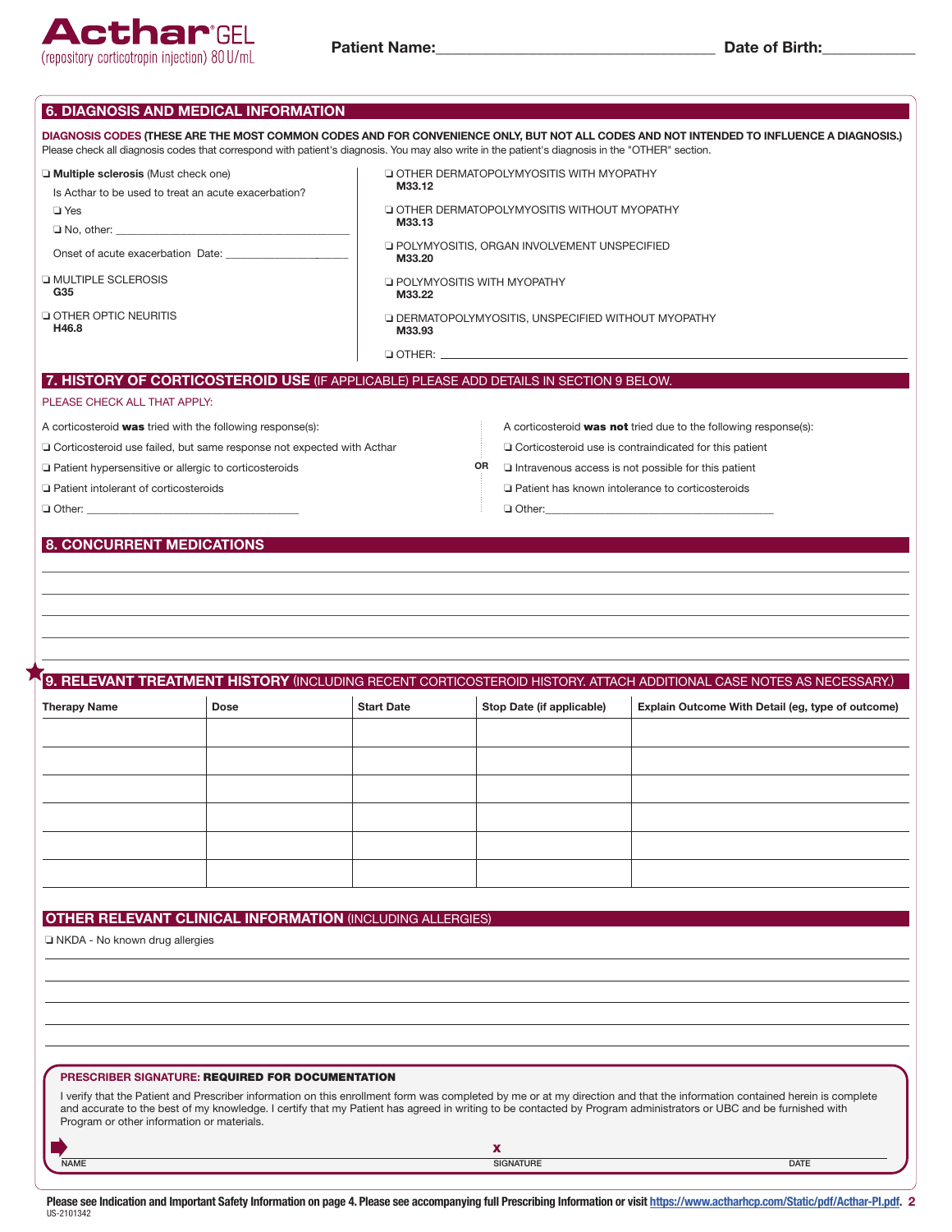

|                                                                                                                                                                                                                                             |             |                                                                  | Please check all diagnosis codes that correspond with patient's diagnosis. You may also write in the patient's diagnosis in the "OTHER" section. | DIAGNOSIS CODES (THESE ARE THE MOST COMMON CODES AND FOR CONVENIENCE ONLY, BUT NOT ALL CODES AND NOT INTENDED TO INFLUENCE A DIAGNOSIS.)                                                                                                                                                                                                      |  |  |
|---------------------------------------------------------------------------------------------------------------------------------------------------------------------------------------------------------------------------------------------|-------------|------------------------------------------------------------------|--------------------------------------------------------------------------------------------------------------------------------------------------|-----------------------------------------------------------------------------------------------------------------------------------------------------------------------------------------------------------------------------------------------------------------------------------------------------------------------------------------------|--|--|
| $\Box$ Multiple sclerosis (Must check one)<br>Is Acthar to be used to treat an acute exacerbation?                                                                                                                                          |             | M33.12                                                           | OTHER DERMATOPOLYMYOSITIS WITH MYOPATHY                                                                                                          |                                                                                                                                                                                                                                                                                                                                               |  |  |
| $\Box$ Yes                                                                                                                                                                                                                                  |             | M33.13                                                           | <b>Q OTHER DERMATOPOLYMYOSITIS WITHOUT MYOPATHY</b>                                                                                              |                                                                                                                                                                                                                                                                                                                                               |  |  |
|                                                                                                                                                                                                                                             |             | M33.20                                                           | <b>Q POLYMYOSITIS, ORGAN INVOLVEMENT UNSPECIFIED</b>                                                                                             |                                                                                                                                                                                                                                                                                                                                               |  |  |
| <b>LI MULTIPLE SCLEROSIS</b><br>G35                                                                                                                                                                                                         |             | M33.22                                                           | <b>E POLYMYOSITIS WITH MYOPATHY</b>                                                                                                              |                                                                                                                                                                                                                                                                                                                                               |  |  |
| <b>Q OTHER OPTIC NEURITIS</b><br>H46.8                                                                                                                                                                                                      |             | M33.93                                                           | <b>LI DERMATOPOLYMYOSITIS, UNSPECIFIED WITHOUT MYOPATHY</b>                                                                                      |                                                                                                                                                                                                                                                                                                                                               |  |  |
|                                                                                                                                                                                                                                             |             |                                                                  |                                                                                                                                                  |                                                                                                                                                                                                                                                                                                                                               |  |  |
| PLEASE CHECK ALL THAT APPLY:                                                                                                                                                                                                                |             |                                                                  | 7. HISTORY OF CORTICOSTEROID USE (IF APPLICABLE) PLEASE ADD DETAILS IN SECTION 9 BELOW.                                                          |                                                                                                                                                                                                                                                                                                                                               |  |  |
| A corticosteroid was tried with the following response(s):<br>□ Corticosteroid use failed, but same response not expected with Acthar<br>□ Patient hypersensitive or allergic to corticosteroids<br>□ Patient intolerant of corticosteroids |             |                                                                  | OR                                                                                                                                               | A corticosteroid <b>was not</b> tried due to the following response(s):<br>$\Box$ Corticosteroid use is contraindicated for this patient<br>Intravenous access is not possible for this patient<br>□ Patient has known intolerance to corticosteroids                                                                                         |  |  |
|                                                                                                                                                                                                                                             |             |                                                                  |                                                                                                                                                  |                                                                                                                                                                                                                                                                                                                                               |  |  |
|                                                                                                                                                                                                                                             |             |                                                                  |                                                                                                                                                  |                                                                                                                                                                                                                                                                                                                                               |  |  |
|                                                                                                                                                                                                                                             | <b>Dose</b> | <b>Start Date</b>                                                | Stop Date (if applicable)                                                                                                                        | 9. RELEVANT TREATMENT HISTORY (INCLUDING RECENT CORTICOSTEROID HISTORY. ATTACH ADDITIONAL CASE NOTES AS NECESSARY.)<br>Explain Outcome With Detail (eg, type of outcome)                                                                                                                                                                      |  |  |
| <b>Therapy Name</b>                                                                                                                                                                                                                         |             |                                                                  |                                                                                                                                                  |                                                                                                                                                                                                                                                                                                                                               |  |  |
|                                                                                                                                                                                                                                             |             |                                                                  |                                                                                                                                                  |                                                                                                                                                                                                                                                                                                                                               |  |  |
|                                                                                                                                                                                                                                             |             |                                                                  |                                                                                                                                                  |                                                                                                                                                                                                                                                                                                                                               |  |  |
|                                                                                                                                                                                                                                             |             |                                                                  |                                                                                                                                                  |                                                                                                                                                                                                                                                                                                                                               |  |  |
|                                                                                                                                                                                                                                             |             |                                                                  |                                                                                                                                                  |                                                                                                                                                                                                                                                                                                                                               |  |  |
|                                                                                                                                                                                                                                             |             |                                                                  |                                                                                                                                                  |                                                                                                                                                                                                                                                                                                                                               |  |  |
|                                                                                                                                                                                                                                             |             | <b>OTHER RELEVANT CLINICAL INFORMATION (INCLUDING ALLERGIES)</b> |                                                                                                                                                  |                                                                                                                                                                                                                                                                                                                                               |  |  |
|                                                                                                                                                                                                                                             |             |                                                                  |                                                                                                                                                  |                                                                                                                                                                                                                                                                                                                                               |  |  |
| □ NKDA - No known drug allergies                                                                                                                                                                                                            |             |                                                                  |                                                                                                                                                  |                                                                                                                                                                                                                                                                                                                                               |  |  |
|                                                                                                                                                                                                                                             |             |                                                                  |                                                                                                                                                  |                                                                                                                                                                                                                                                                                                                                               |  |  |
|                                                                                                                                                                                                                                             |             |                                                                  |                                                                                                                                                  |                                                                                                                                                                                                                                                                                                                                               |  |  |
| PRESCRIBER SIGNATURE: REQUIRED FOR DOCUMENTATION<br>Program or other information or materials.                                                                                                                                              |             |                                                                  |                                                                                                                                                  | I verify that the Patient and Prescriber information on this enrollment form was completed by me or at my direction and that the information contained herein is complete<br>and accurate to the best of my knowledge. I certify that my Patient has agreed in writing to be contacted by Program administrators or UBC and be furnished with |  |  |

Please see Indication and Important Safety Information on page 4. Please see accompanying full Prescribing Information or visit <u>https://www.actharhcp.com/Static/pdf/Acthar-PI.pdf</u>. 2<br><sup>US-2101342</sup>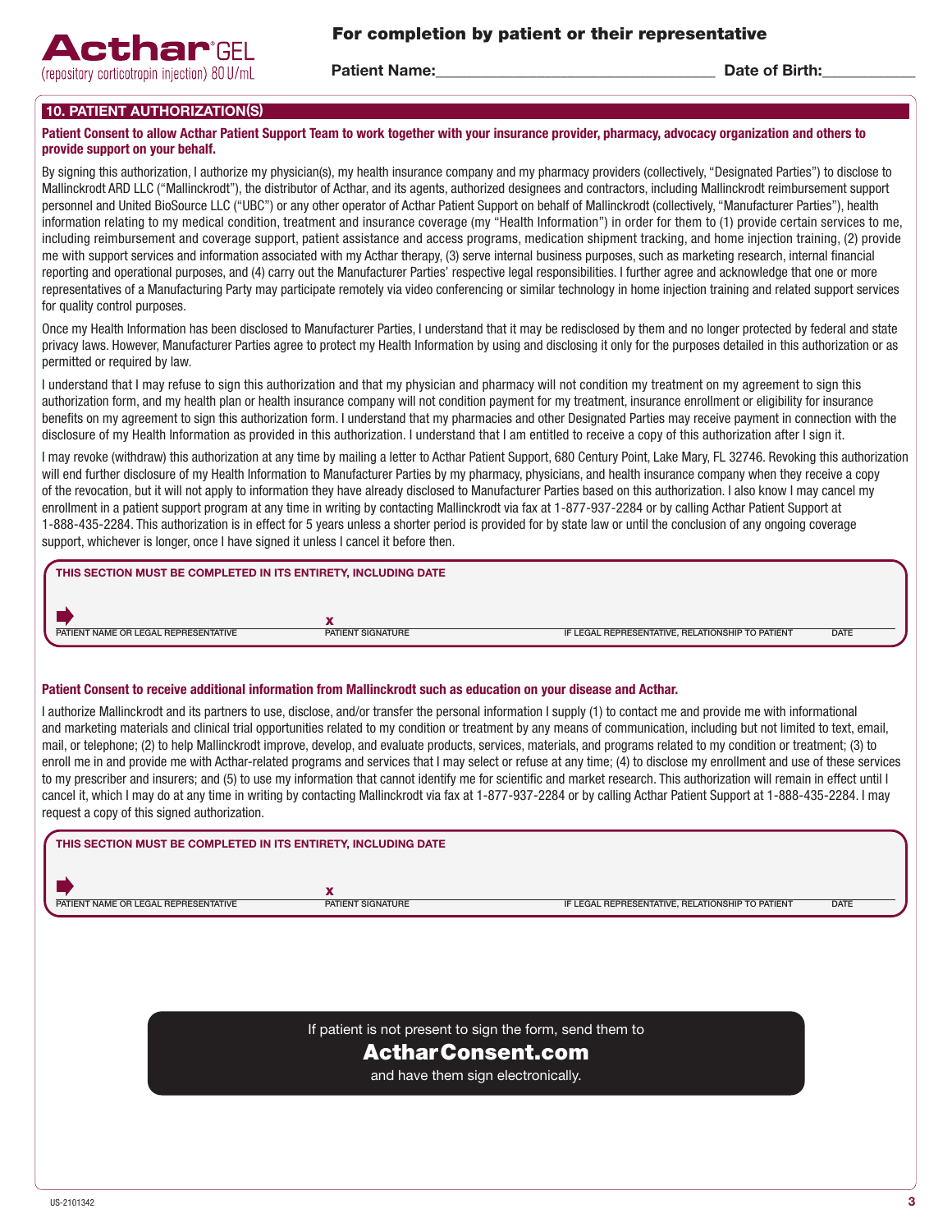

Patient Name: The Contract of Birth: Date of Birth:

# 10. PATIENT AUTHORIZATION(S)

#### Patient Consent to allow Acthar Patient Support Team to work together with your insurance provider, pharmacy, advocacy organization and others to provide support on your behalf.

By signing this authorization, I authorize my physician(s), my health insurance company and my pharmacy providers (collectively, "Designated Parties") to disclose to Mallinckrodt ARD LLC ("Mallinckrodt"), the distributor of Acthar, and its agents, authorized designees and contractors, including Mallinckrodt reimbursement support personnel and United BioSource LLC ("UBC") or any other operator of Acthar Patient Support on behalf of Mallinckrodt (collectively, "Manufacturer Parties"), health information relating to my medical condition, treatment and insurance coverage (my "Health Information") in order for them to (1) provide certain services to me, including reimbursement and coverage support, patient assistance and access programs, medication shipment tracking, and home injection training, (2) provide me with support services and information associated with my Acthar therapy, (3) serve internal business purposes, such as marketing research, internal financial reporting and operational purposes, and (4) carry out the Manufacturer Parties' respective legal responsibilities. I further agree and acknowledge that one or more representatives of a Manufacturing Party may participate remotely via video conferencing or similar technology in home injection training and related support services for quality control purposes.

Once my Health Information has been disclosed to Manufacturer Parties, I understand that it may be redisclosed by them and no longer protected by federal and state privacy laws. However, Manufacturer Parties agree to protect my Health Information by using and disclosing it only for the purposes detailed in this authorization or as permitted or required by law.

I understand that I may refuse to sign this authorization and that my physician and pharmacy will not condition my treatment on my agreement to sign this authorization form, and my health plan or health insurance company will not condition payment for my treatment, insurance enrollment or eligibility for insurance benefits on my agreement to sign this authorization form. I understand that my pharmacies and other Designated Parties may receive payment in connection with the disclosure of my Health Information as provided in this authorization. I understand that I am entitled to receive a copy of this authorization after I sign it.

I may revoke (withdraw) this authorization at any time by mailing a letter to Acthar Patient Support, 680 Century Point, Lake Mary, FL 32746. Revoking this authorization will end further disclosure of my Health Information to Manufacturer Parties by my pharmacy, physicians, and health insurance company when they receive a copy of the revocation, but it will not apply to information they have already disclosed to Manufacturer Parties based on this authorization. I also know I may cancel my enrollment in a patient support program at any time in writing by contacting Mallinckrodt via fax at 1-877-937-2284 or by calling Acthar Patient Support at 1-888-435-2284. This authorization is in effect for 5 years unless a shorter period is provided for by state law or until the conclusion of any ongoing coverage support, whichever is longer, once I have signed it unless I cancel it before then.

| THIS SECTION MUST BE COMPLETED IN ITS ENTIRETY, INCLUDING DATE   |                                                  |             |
|------------------------------------------------------------------|--------------------------------------------------|-------------|
| PATIENT NAME OR LEGAL REPRESENTATIVE<br><b>PATIENT SIGNATURE</b> | IF LEGAL REPRESENTATIVE, RELATIONSHIP TO PATIENT | <b>DATE</b> |

#### Patient Consent to receive additional information from Mallinckrodt such as education on your disease and Acthar.

I authorize Mallinckrodt and its partners to use, disclose, and/or transfer the personal information I supply (1) to contact me and provide me with informational and marketing materials and clinical trial opportunities related to my condition or treatment by any means of communication, including but not limited to text, email, mail, or telephone; (2) to help Mallinckrodt improve, develop, and evaluate products, services, materials, and programs related to my condition or treatment; (3) to enroll me in and provide me with Acthar-related programs and services that I may select or refuse at any time; (4) to disclose my enrollment and use of these services to my prescriber and insurers; and (5) to use my information that cannot identify me for scientific and market research. This authorization will remain in effect until I cancel it, which I may do at any time in writing by contacting Mallinckrodt via fax at 1-877-937-2284 or by calling Acthar Patient Support at 1-888-435-2284. I may request a copy of this signed authorization.

| THIS SECTION MUST BE COMPLETED IN ITS ENTIRETY, INCLUDING DATE |                                                          |                                                  |             |
|----------------------------------------------------------------|----------------------------------------------------------|--------------------------------------------------|-------------|
| PATIENT NAME OR LEGAL REPRESENTATIVE                           | $\overline{\phantom{a}}$<br>PATIENT SIGNATURE            | IF LEGAL REPRESENTATIVE, RELATIONSHIP TO PATIENT | <b>DATE</b> |
|                                                                |                                                          |                                                  |             |
|                                                                |                                                          |                                                  |             |
|                                                                |                                                          |                                                  |             |
|                                                                |                                                          |                                                  |             |
|                                                                | If patient is not present to sign the form, send them to |                                                  |             |

# ActharConsent.com

and have them sign electronically.